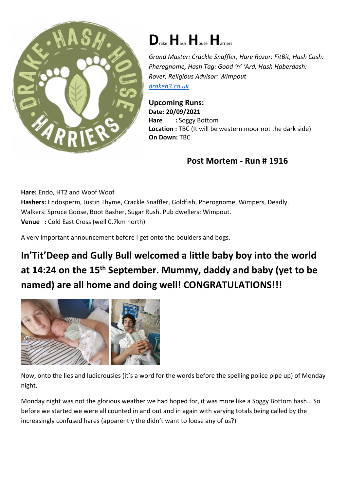

## **D**rake**H**ash**H**ouse**H**arriers

*Grand Master: Crackle Snaffler, Hare Razor: FitBit, Hash Cash: Pheregnome, Hash Tag: Good 'n' 'Ard, Hash Haberdash: Rover, Religious Advisor: Wimpout drakeh3.co.uk*

**Upcoming Runs: Date: 20/09/2021 Hare : Soggy Bottom Location :** TBC (It will be western moor not the dark side) **On Down:** TBC

## **Post Mortem - Run # 1916**

**Hare:** Endo, HT2 and Woof Woof

**Hashers:** Endosperm, Justin Thyme, Crackle Snaffler, Goldfish, Pherognome, Wimpers, Deadly. Walkers: Spruce Goose, Boot Basher, Sugar Rush. Pub dwellers: Wimpout. **Venue :** Cold East Cross (well 0.7km north)

A very important announcement before I get onto the boulders and bogs.

**In'Tit'Deep and Gully Bull welcomed a little baby boy into the world at 14:24 on the 15th September. Mummy, daddy and baby (yet to be named) are all home and doing well! CONGRATULATIONS!!!** 



Now, onto the lies and ludicrousies (it's a word for the words before the spelling police pipe up) of Monday night.

Monday night was not the glorious weather we had hoped for, it was more like a Soggy Bottom hash… So before we started we were all counted in and out and in again with varying totals being called by the increasingly confused hares (apparently the didn't want to loose any of us?)